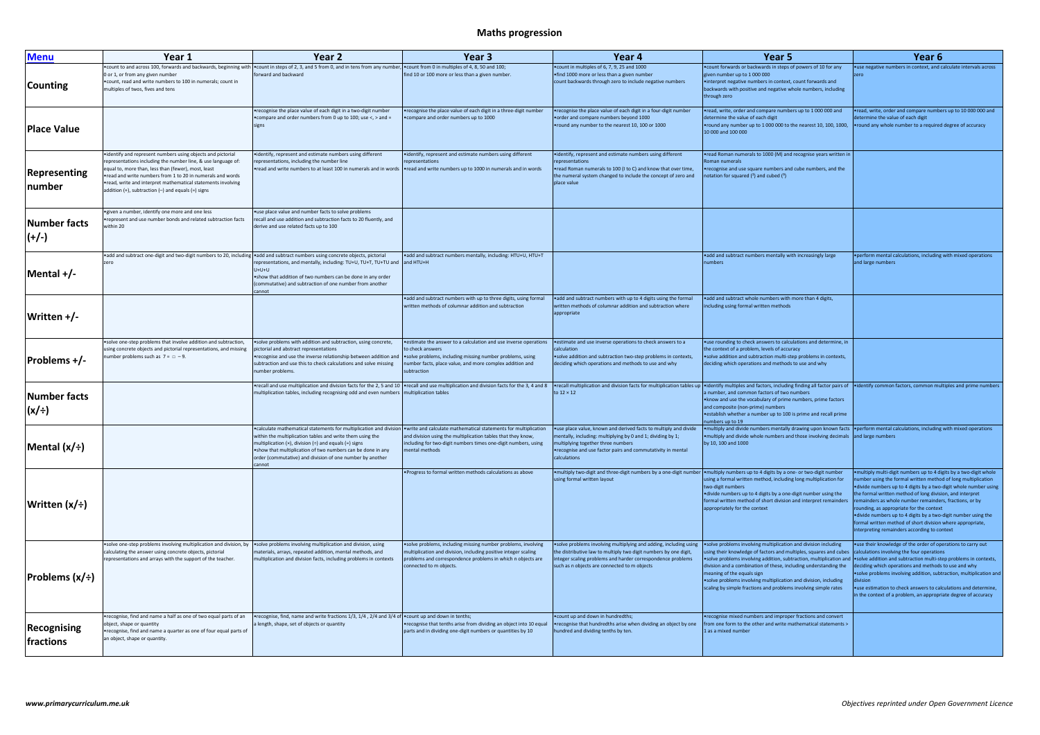## **Maths progression**

| Menu                       | Year 1                                                                                                                                                                                                                                                                                                                                                                        | Year <sub>2</sub>                                                                                                                                                                                                                                                                                                                                                                                               | Year <sub>3</sub>                                                                                                                                                                                                           | Year 4                                                                                                                                                                                                                                               | Year 5                                                                                                                                                                                                                                                                                                                                                                                                                                                 | Year 6                                                                                                                                                                                                                                                                                                                                                                                       |
|----------------------------|-------------------------------------------------------------------------------------------------------------------------------------------------------------------------------------------------------------------------------------------------------------------------------------------------------------------------------------------------------------------------------|-----------------------------------------------------------------------------------------------------------------------------------------------------------------------------------------------------------------------------------------------------------------------------------------------------------------------------------------------------------------------------------------------------------------|-----------------------------------------------------------------------------------------------------------------------------------------------------------------------------------------------------------------------------|------------------------------------------------------------------------------------------------------------------------------------------------------------------------------------------------------------------------------------------------------|--------------------------------------------------------------------------------------------------------------------------------------------------------------------------------------------------------------------------------------------------------------------------------------------------------------------------------------------------------------------------------------------------------------------------------------------------------|----------------------------------------------------------------------------------------------------------------------------------------------------------------------------------------------------------------------------------------------------------------------------------------------------------------------------------------------------------------------------------------------|
| <b>Counting</b>            | 0 or 1, or from any given number<br>• count, read and write numbers to 100 in numerals; count in<br>multiples of twos, fives and tens                                                                                                                                                                                                                                         | •count to and across 100, forwards and backwards, beginning with •count in steps of 2, 3, and 5 from 0, and in tens from any number, •count from 0 in multiples of 4, 8, 50 and 100;<br>forward and backward                                                                                                                                                                                                    | find 10 or 100 more or less than a given number.                                                                                                                                                                            | . count in multiples of 6, 7, 9, 25 and 1000<br>. find 1000 more or less than a given number<br>count backwards through zero to include negative numbers                                                                                             | . count forwards or backwards in steps of powers of 10 for any<br>given number up to 1 000 000<br>• interpret negative numbers in context, count forwards and<br>backwards with positive and negative whole numbers, including<br>through zero                                                                                                                                                                                                         | • use negative numbers in context, and                                                                                                                                                                                                                                                                                                                                                       |
| <b>Place Value</b>         |                                                                                                                                                                                                                                                                                                                                                                               | recognise the place value of each digit in a two-digit number<br>• compare and order numbers from 0 up to 100; use <, > and =<br>signs                                                                                                                                                                                                                                                                          | •recognise the place value of each digit in a three-digit number<br>. compare and order numbers up to 1000                                                                                                                  | •recognise the place value of each digit in a four-digit number<br>order and compare numbers beyond 1000<br>• round any number to the nearest 10, 100 or 1000                                                                                        | •read, write, order and compare numbers up to 1 000 000 and<br>determine the value of each digit<br>• round any number up to 1 000 000 to the nearest 10, 100, 1000,<br>10 000 and 100 000                                                                                                                                                                                                                                                             | .read, write, order and compare numbe<br>determine the value of each digit<br>. round any whole number to a required                                                                                                                                                                                                                                                                         |
| Representing<br>number     | •identify and represent numbers using objects and pictorial<br>representations including the number line, & use language of:<br>equal to, more than, less than (fewer), most, least<br>read and write numbers from 1 to 20 in numerals and words<br>•read, write and interpret mathematical statements involving<br>addition $(+)$ , subtraction $(-)$ and equals $(=)$ signs | •identify, represent and estimate numbers using different<br>representations, including the number line<br>•read and write numbers to at least 100 in numerals and in words  •read and write numbers up to 1000 in numerals and in words                                                                                                                                                                        | • identify, represent and estimate numbers using different<br>representations                                                                                                                                               | • identify, represent and estimate numbers using different<br>representations<br>.read Roman numerals to 100 (I to C) and know that over time,<br>the numeral system changed to include the concept of zero and<br>place value                       | •read Roman numerals to 1000 (M) and recognise years written in<br>Roman numerals<br>•recognise and use square numbers and cube numbers, and the<br>notation for squared $(2)$ and cubed $(3)$                                                                                                                                                                                                                                                         |                                                                                                                                                                                                                                                                                                                                                                                              |
| Number facts<br>$(+/-)$    | • given a number, identify one more and one less<br>represent and use number bonds and related subtraction facts<br>within 20                                                                                                                                                                                                                                                 | •use place value and number facts to solve problems<br>recall and use addition and subtraction facts to 20 fluently, and<br>derive and use related facts up to 100                                                                                                                                                                                                                                              |                                                                                                                                                                                                                             |                                                                                                                                                                                                                                                      |                                                                                                                                                                                                                                                                                                                                                                                                                                                        |                                                                                                                                                                                                                                                                                                                                                                                              |
| Mental $+/-$               | .add and subtract one-digit and two-digit numbers to 20, including                                                                                                                                                                                                                                                                                                            | • add and subtract numbers using concrete objects, pictorial<br>representations, and mentally, including: TU+U, TU+T, TU+TU and and HTU+H<br>U+U+U<br>.show that addition of two numbers can be done in any order<br>(commutative) and subtraction of one number from another<br>cannot                                                                                                                         | • add and subtract numbers mentally, including: HTU+U, HTU+T                                                                                                                                                                |                                                                                                                                                                                                                                                      | .add and subtract numbers mentally with increasingly large<br>numbers                                                                                                                                                                                                                                                                                                                                                                                  | ·perform mental calculations, including<br>and large numbers                                                                                                                                                                                                                                                                                                                                 |
| Written $+/-$              |                                                                                                                                                                                                                                                                                                                                                                               |                                                                                                                                                                                                                                                                                                                                                                                                                 | • add and subtract numbers with up to three digits, using formal<br>written methods of columnar addition and subtraction                                                                                                    | • add and subtract numbers with up to 4 digits using the formal<br>written methods of columnar addition and subtraction where<br>appropriate                                                                                                         | • add and subtract whole numbers with more than 4 digits,<br>including using formal written methods                                                                                                                                                                                                                                                                                                                                                    |                                                                                                                                                                                                                                                                                                                                                                                              |
| $ Problems +/$ -           | .solve one-step problems that involve addition and subtraction,<br>using concrete objects and pictorial representations, and missing<br>number problems such as $7 = \Box - 9$ .                                                                                                                                                                                              | .solve problems with addition and subtraction, using concrete,<br>pictorial and abstract representations<br>•recognise and use the inverse relationship between addition and  •solve problems, including missing number problems, using<br>subtraction and use this to check calculations and solve missing<br>number problems.                                                                                 | • estimate the answer to a calculation and use inverse operations<br>to check answers<br>number facts, place value, and more complex addition and<br>subtraction                                                            | • estimate and use inverse operations to check answers to a<br>calculation<br>• solve addition and subtraction two-step problems in contexts,<br>deciding which operations and methods to use and why                                                | • use rounding to check answers to calculations and determine, in<br>the context of a problem, levels of accuracy<br>• solve addition and subtraction multi-step problems in contexts,<br>deciding which operations and methods to use and why                                                                                                                                                                                                         |                                                                                                                                                                                                                                                                                                                                                                                              |
| Number facts<br>$(x/\div)$ |                                                                                                                                                                                                                                                                                                                                                                               | recall and use multiplication and division facts for the 2, 5 and 10   recall and use multiplication and division facts for the 3, 4 and 8<br>multiplication tables, including recognising odd and even numbers   multiplication tables                                                                                                                                                                         |                                                                                                                                                                                                                             | to $12 \times 12$                                                                                                                                                                                                                                    | •recall multiplication and division facts for multiplication tables up  •identify multiples and factors, including finding all factor pairs of  •identify common factors, common mu<br>a number, and common factors of two numbers<br>. know and use the vocabulary of prime numbers, prime factors<br>and composite (non-prime) numbers<br>• establish whether a number up to 100 is prime and recall prime<br>numbers up to 19                       |                                                                                                                                                                                                                                                                                                                                                                                              |
| Mental $(x/\div)$          |                                                                                                                                                                                                                                                                                                                                                                               | •calculate mathematical statements for multiplication and division  •write and calculate mathematical statements for multiplication<br>within the multiplication tables and write them using the<br>multiplication ( $\times$ ), division ( $\div$ ) and equals (=) signs<br>.show that multiplication of two numbers can be done in any<br>order (commutative) and division of one number by another<br>cannot | and division using the multiplication tables that they know,<br>including for two-digit numbers times one-digit numbers, using<br>mental methods                                                                            | .use place value, known and derived facts to multiply and divide<br>mentally, including: multiplying by 0 and 1; dividing by 1;<br>multiplying together three numbers<br>•recognise and use factor pairs and commutativity in mental<br>calculations | •multiply and divide numbers mentally drawing upon known facts • perform mental calculations, including<br>• multiply and divide whole numbers and those involving decimals and large numbers<br>by 10, 100 and 1000                                                                                                                                                                                                                                   |                                                                                                                                                                                                                                                                                                                                                                                              |
| Written (x/÷)              |                                                                                                                                                                                                                                                                                                                                                                               |                                                                                                                                                                                                                                                                                                                                                                                                                 | . Progress to formal written methods calculations as above                                                                                                                                                                  | . multiply two-digit and three-digit numbers by a one-digit number<br>using formal written layout                                                                                                                                                    | . multiply numbers up to 4 digits by a one- or two-digit number<br>using a formal written method, including long multiplication for<br>two-digit numbers<br>• divide numbers up to 4 digits by a one-digit number using the<br>formal written method of short division and interpret remainders<br>appropriately for the context                                                                                                                       | ·multiply multi-digit numbers up to 4 di<br>number using the formal written metho<br>·divide numbers up to 4 digits by a two-<br>the formal written method of long divis<br>remainders as whole number remainde<br>rounding, as appropriate for the contex<br>• divide numbers up to 4 digits by a two<br>formal written method of short division<br>interpreting remainders according to co |
| Problems (x/÷)             | .solve one-step problems involving multiplication and division, by<br>calculating the answer using concrete objects, pictorial<br>representations and arrays with the support of the teacher.                                                                                                                                                                                 | .solve problems involving multiplication and division, using<br>materials, arrays, repeated addition, mental methods, and<br>multiplication and division facts, including problems in contexts                                                                                                                                                                                                                  | • solve problems, including missing number problems, involving<br>multiplication and division, including positive integer scaling<br>problems and correspondence problems in which n objects are<br>connected to m objects. | •solve problems involving multiplying and adding, including using<br>the distributive law to multiply two digit numbers by one digit,<br>integer scaling problems and harder correspondence problems<br>such as n objects are connected to m objects | .solve problems involving multiplication and division including<br>using their knowledge of factors and multiples, squares and cubes<br>• solve problems involving addition, subtraction, multiplication and<br>division and a combination of these, including understanding the<br>meaning of the equals sign<br>• solve problems involving multiplication and division, including<br>scaling by simple fractions and problems involving simple rates | ·use their knowledge of the order of op<br>calculations involving the four operatior<br>.solve addition and subtraction multi-st<br>deciding which operations and methods<br>·solve problems involving addition, sub<br>division<br>·use estimation to check answers to cal<br>in the context of a problem, an appropr                                                                       |
| Recognising<br>fractions   | •recognise, find and name a half as one of two equal parts of an<br>object, shape or quantity<br>•recognise, find and name a quarter as one of four equal parts of<br>an object, shape or quantity.                                                                                                                                                                           | •recognise, find, name and write fractions 1/3, 1/4, 2/4 and 3/4 of •count up and down in tenths;<br>a length, shape, set of objects or quantity                                                                                                                                                                                                                                                                | • recognise that tenths arise from dividing an object into 10 equal<br>parts and in dividing one-digit numbers or quantities by 10                                                                                          | .count up and down in hundredths;<br>•recognise that hundredths arise when dividing an object by one<br>hundred and dividing tenths by ten.                                                                                                          | •recognise mixed numbers and improper fractions and convert<br>from one form to the other and write mathematical statements ><br>1 as a mixed number                                                                                                                                                                                                                                                                                                   |                                                                                                                                                                                                                                                                                                                                                                                              |

| 5                                                            | Year <sub>6</sub>                                                                                                                   |
|--------------------------------------------------------------|-------------------------------------------------------------------------------------------------------------------------------------|
| s of powers of 10 for any                                    | .use negative numbers in context, and calculate intervals across                                                                    |
| xt, count forwards and                                       | zero                                                                                                                                |
| whole numbers, including                                     |                                                                                                                                     |
|                                                              |                                                                                                                                     |
| bers up to 1 000 000 and                                     | .read, write, order and compare numbers up to 10 000 000 and                                                                        |
|                                                              | determine the value of each digit                                                                                                   |
| o the nearest 10, 100, 1000,                                 | • round any whole number to a required degree of accuracy                                                                           |
|                                                              |                                                                                                                                     |
| nd recognise years written in                                |                                                                                                                                     |
|                                                              |                                                                                                                                     |
| ind cube numbers, and the                                    |                                                                                                                                     |
|                                                              |                                                                                                                                     |
|                                                              |                                                                                                                                     |
|                                                              |                                                                                                                                     |
|                                                              |                                                                                                                                     |
|                                                              |                                                                                                                                     |
|                                                              |                                                                                                                                     |
|                                                              |                                                                                                                                     |
| with increasingly large                                      | . perform mental calculations, including with mixed operations<br>and large numbers                                                 |
|                                                              |                                                                                                                                     |
|                                                              |                                                                                                                                     |
|                                                              |                                                                                                                                     |
| th more than 4 digits,<br>ds                                 |                                                                                                                                     |
|                                                              |                                                                                                                                     |
|                                                              |                                                                                                                                     |
|                                                              |                                                                                                                                     |
| Iculations and determine, in<br>curacy                       |                                                                                                                                     |
| -step problems in contexts,                                  |                                                                                                                                     |
| ds to use and why                                            |                                                                                                                                     |
|                                                              |                                                                                                                                     |
| ling finding all factor pairs of<br>o numbers                | •identify common factors, common multiples and prime numbers                                                                        |
| e numbers, prime factors                                     |                                                                                                                                     |
| 00 is prime and recall prime                                 |                                                                                                                                     |
|                                                              |                                                                                                                                     |
| ly drawing upon known facts<br>and those involving decimals  | • perform mental calculations, including with mixed operations<br>and large numbers                                                 |
|                                                              |                                                                                                                                     |
|                                                              |                                                                                                                                     |
|                                                              |                                                                                                                                     |
| one- or two-digit number<br>ling long multiplication for     | . multiply multi-digit numbers up to 4 digits by a two-digit whole<br>number using the formal written method of long multiplication |
|                                                              | ·divide numbers up to 4 digits by a two-digit whole number using                                                                    |
| e-digit number using the<br>on and interpret remainders      | the formal written method of long division, and interpret<br>remainders as whole number remainders, fractions, or by                |
|                                                              | rounding, as appropriate for the context                                                                                            |
|                                                              | . divide numbers up to 4 digits by a two-digit number using the<br>formal written method of short division where appropriate,       |
|                                                              | interpreting remainders according to context                                                                                        |
| on and division including                                    | .use their knowledge of the order of operations to carry out                                                                        |
| multiples, squares and cubes                                 | calculations involving the four operations                                                                                          |
| ubtraction, multiplication and<br>ncluding understanding the | .solve addition and subtraction multi-step problems in contexts,<br>deciding which operations and methods to use and why            |
|                                                              | .solve problems involving addition, subtraction, multiplication and                                                                 |
| ion and division, including<br>ms involving simple rates     | division<br>• use estimation to check answers to calculations and determine,                                                        |
|                                                              | in the context of a problem, an appropriate degree of accuracy                                                                      |
|                                                              |                                                                                                                                     |
| per fractions and convert                                    |                                                                                                                                     |
| mathematical statements >                                    |                                                                                                                                     |
|                                                              |                                                                                                                                     |
|                                                              |                                                                                                                                     |
|                                                              |                                                                                                                                     |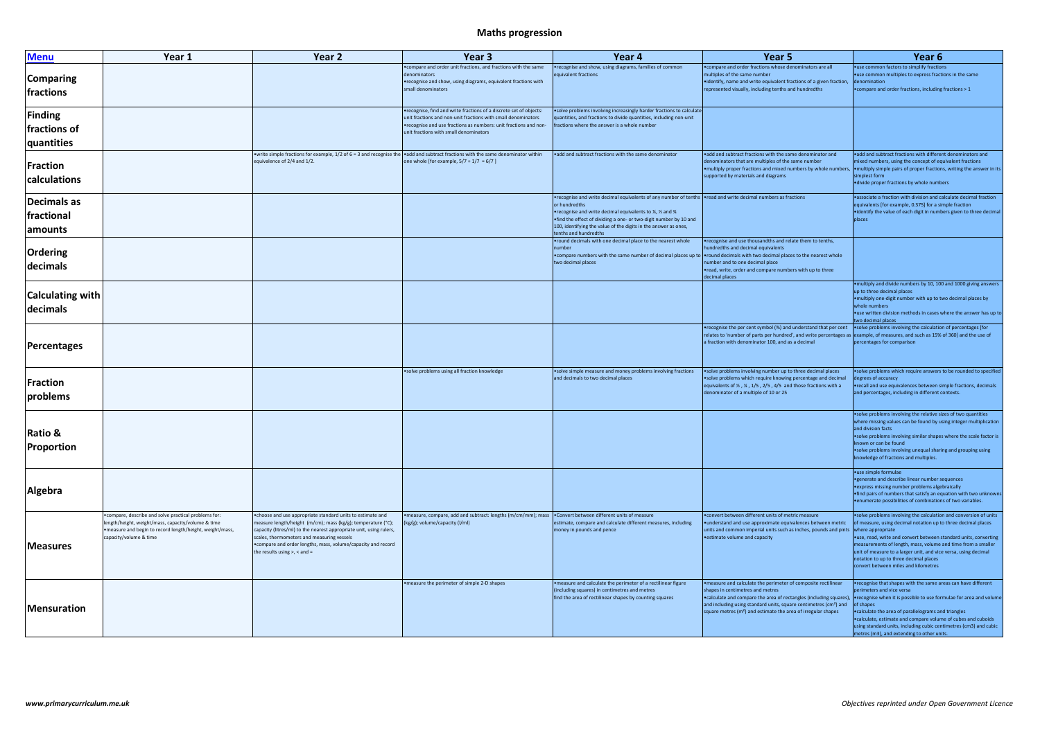## **Maths progression**

| <b>Menu</b>                           | Year 1                                                                                                                                                                                             | Year <sub>2</sub>                                                                                                                                                                                                                                                                                                                                        | Year <sub>3</sub>                                                                                                                                                                                                                                 | Year <sub>4</sub>                                                                                                                                                                                                                                                                                                                                          | Year <sub>5</sub>                                                                                                                                                                                                                                                                                                     | Year <sub>6</sub>                                                                                                                                                                                                                                                                                                                                                                                                                                                                            |
|---------------------------------------|----------------------------------------------------------------------------------------------------------------------------------------------------------------------------------------------------|----------------------------------------------------------------------------------------------------------------------------------------------------------------------------------------------------------------------------------------------------------------------------------------------------------------------------------------------------------|---------------------------------------------------------------------------------------------------------------------------------------------------------------------------------------------------------------------------------------------------|------------------------------------------------------------------------------------------------------------------------------------------------------------------------------------------------------------------------------------------------------------------------------------------------------------------------------------------------------------|-----------------------------------------------------------------------------------------------------------------------------------------------------------------------------------------------------------------------------------------------------------------------------------------------------------------------|----------------------------------------------------------------------------------------------------------------------------------------------------------------------------------------------------------------------------------------------------------------------------------------------------------------------------------------------------------------------------------------------------------------------------------------------------------------------------------------------|
| <b>Comparing</b><br>fractions         |                                                                                                                                                                                                    |                                                                                                                                                                                                                                                                                                                                                          | • compare and order unit fractions, and fractions with the same<br>denominators<br>• recognise and show, using diagrams, equivalent fractions with<br>small denominators                                                                          | •recognise and show, using diagrams, families of common<br>equivalent fractions                                                                                                                                                                                                                                                                            | . compare and order fractions whose denominators are all<br>multiples of the same number<br>• identify, name and write equivalent fractions of a given fraction,<br>represented visually, including tenths and hundredths                                                                                             | •use common factors to simplify fractions<br>•use common multiples to express fractions in the same<br>denomination<br>• compare and order fractions, including fractions > 1                                                                                                                                                                                                                                                                                                                |
| Finding<br>fractions of<br>quantities |                                                                                                                                                                                                    |                                                                                                                                                                                                                                                                                                                                                          | •recognise, find and write fractions of a discrete set of objects:<br>unit fractions and non-unit fractions with small denominators<br>•recognise and use fractions as numbers: unit fractions and non-<br>unit fractions with small denominators | .solve problems involving increasingly harder fractions to calculate<br>quantities, and fractions to divide quantities, including non-unit<br>fractions where the answer is a whole number                                                                                                                                                                 |                                                                                                                                                                                                                                                                                                                       |                                                                                                                                                                                                                                                                                                                                                                                                                                                                                              |
| Fraction<br>calculations              |                                                                                                                                                                                                    | • write simple fractions for example, $1/2$ of 6 = 3 and recognise the $\bullet$ add and subtract fractions with the same denominator within<br>equivalence of 2/4 and 1/2.                                                                                                                                                                              | one whole [for example, $5/7 + 1/7 = 6/7$ ]                                                                                                                                                                                                       | .add and subtract fractions with the same denominator                                                                                                                                                                                                                                                                                                      | .add and subtract fractions with the same denominator and<br>denominators that are multiples of the same number<br>. multiply proper fractions and mixed numbers by whole numbers,<br>supported by materials and diagrams                                                                                             | .add and subtract fractions with different denominators and<br>mixed numbers, using the concept of equivalent fractions<br>. multiply simple pairs of proper fractions, writing the answer in its<br>simplest form<br>• divide proper fractions by whole numbers                                                                                                                                                                                                                             |
| Decimals as<br>fractional<br> amounts |                                                                                                                                                                                                    |                                                                                                                                                                                                                                                                                                                                                          |                                                                                                                                                                                                                                                   | •recognise and write decimal equivalents of any number of tenths •read and write decimal numbers as fractions<br>or hundredths<br>• recognise and write decimal equivalents to ¼, ½ and ¾<br>•find the effect of dividing a one- or two-digit number by 10 and<br>100, identifying the value of the digits in the answer as ones,<br>tenths and hundredths |                                                                                                                                                                                                                                                                                                                       | . associate a fraction with division and calculate decimal fraction<br>equivalents [for example, 0.375] for a simple fraction<br>• identify the value of each digit in numbers given to three decimal<br>places                                                                                                                                                                                                                                                                              |
| <b>Ordering</b><br>decimals           |                                                                                                                                                                                                    |                                                                                                                                                                                                                                                                                                                                                          |                                                                                                                                                                                                                                                   | . round decimals with one decimal place to the nearest whole<br>number<br>•compare numbers with the same number of decimal places up to  •round decimals with two decimal places to the nearest whole<br>two decimal places                                                                                                                                | •recognise and use thousandths and relate them to tenths,<br>hundredths and decimal equivalents<br>number and to one decimal place<br>•read, write, order and compare numbers with up to three<br>decimal places                                                                                                      |                                                                                                                                                                                                                                                                                                                                                                                                                                                                                              |
| Calculating with<br>decimals          |                                                                                                                                                                                                    |                                                                                                                                                                                                                                                                                                                                                          |                                                                                                                                                                                                                                                   |                                                                                                                                                                                                                                                                                                                                                            |                                                                                                                                                                                                                                                                                                                       | . multiply and divide numbers by 10, 100 and 1000 giving answers<br>up to three decimal places<br>. multiply one-digit number with up to two decimal places by<br>whole numbers<br>• use written division methods in cases where the answer has up to<br>two decimal places                                                                                                                                                                                                                  |
| Percentages                           |                                                                                                                                                                                                    |                                                                                                                                                                                                                                                                                                                                                          |                                                                                                                                                                                                                                                   |                                                                                                                                                                                                                                                                                                                                                            | •recognise the per cent symbol (%) and understand that per cent •solve problems involving the calculation of percentages [for<br>relates to 'number of parts per hundred', and write percentages as example, of measures, and such as 15% of 360] and the use of<br>a fraction with denominator 100, and as a decimal | percentages for comparison                                                                                                                                                                                                                                                                                                                                                                                                                                                                   |
| Fraction<br> problems                 |                                                                                                                                                                                                    |                                                                                                                                                                                                                                                                                                                                                          | .solve problems using all fraction knowledge                                                                                                                                                                                                      | .solve simple measure and money problems involving fractions<br>and decimals to two decimal places                                                                                                                                                                                                                                                         | • solve problems involving number up to three decimal places<br>• solve problems which require knowing percentage and decimal<br>equivalents of $\frac{1}{2}$ , $\frac{1}{3}$ , $\frac{1}{5}$ , $\frac{2}{5}$ , $\frac{4}{5}$ and those fractions with a<br>denominator of a multiple of 10 or 25                     | .solve problems which require answers to be rounded to specified<br>degrees of accuracy<br>•recall and use equivalences between simple fractions, decimals<br>and percentages, including in different contexts.                                                                                                                                                                                                                                                                              |
| <b>Ratio &amp;</b><br>Proportion      |                                                                                                                                                                                                    |                                                                                                                                                                                                                                                                                                                                                          |                                                                                                                                                                                                                                                   |                                                                                                                                                                                                                                                                                                                                                            |                                                                                                                                                                                                                                                                                                                       | .solve problems involving the relative sizes of two quantities<br>where missing values can be found by using integer multiplication<br>and division facts<br>.solve problems involving similar shapes where the scale factor is<br>known or can be found<br>.solve problems involving unequal sharing and grouping using<br>knowledge of fractions and multiples.                                                                                                                            |
| Algebra                               |                                                                                                                                                                                                    |                                                                                                                                                                                                                                                                                                                                                          |                                                                                                                                                                                                                                                   |                                                                                                                                                                                                                                                                                                                                                            |                                                                                                                                                                                                                                                                                                                       | • use simple formulae<br>• generate and describe linear number sequences<br>• express missing number problems algebraically<br>. find pairs of numbers that satisfy an equation with two unknowns<br>• enumerate possibilities of combinations of two variables.                                                                                                                                                                                                                             |
| <b>Measures</b>                       | • compare, describe and solve practical problems for:<br>length/height, weight/mass, capacity/volume & time<br>. measure and begin to record length/height, weight/mass,<br>capacity/volume & time | • choose and use appropriate standard units to estimate and<br>measure length/height (m/cm); mass (kg/g); temperature (°C);<br>capacity (litres/ml) to the nearest appropriate unit, using rulers,<br>scales, thermometers and measuring vessels<br>• compare and order lengths, mass, volume/capacity and record<br>the results using $>$ , $<$ and $=$ | •measure, compare, add and subtract: lengths (m/cm/mm); mass •Convert between different units of measure<br>(kg/g); volume/capacity (l/ml)                                                                                                        | estimate, compare and calculate different measures, including<br>money in pounds and pence                                                                                                                                                                                                                                                                 | . convert between different units of metric measure<br>• understand and use approximate equivalences between metric<br>units and common imperial units such as inches, pounds and pints where appropriate<br>• estimate volume and capacity                                                                           | .solve problems involving the calculation and conversion of units<br>of measure, using decimal notation up to three decimal places<br>.use, read, write and convert between standard units, converting<br>measurements of length, mass, volume and time from a smaller<br>unit of measure to a larger unit, and vice versa, using decimal<br>notation to up to three decimal places<br>convert between miles and kilometres                                                                  |
| <b>Mensuration</b>                    |                                                                                                                                                                                                    |                                                                                                                                                                                                                                                                                                                                                          | • measure the perimeter of simple 2-D shapes                                                                                                                                                                                                      | . measure and calculate the perimeter of a rectilinear figure<br>(including squares) in centimetres and metres<br>find the area of rectilinear shapes by counting squares                                                                                                                                                                                  | . measure and calculate the perimeter of composite rectilinear<br>shapes in centimetres and metres<br>and including using standard units, square centimetres (cm <sup>2</sup> ) and<br>square metres (m <sup>2</sup> ) and estimate the area of irregular shapes                                                      | •recognise that shapes with the same areas can have different<br>perimeters and vice versa<br>•calculate and compare the area of rectangles (including squares), •recognise when it is possible to use formulae for area and volume<br>of shapes<br>• calculate the area of parallelograms and triangles<br>. calculate, estimate and compare volume of cubes and cuboids<br>using standard units, including cubic centimetres (cm3) and cubic<br>metres (m3), and extending to other units. |